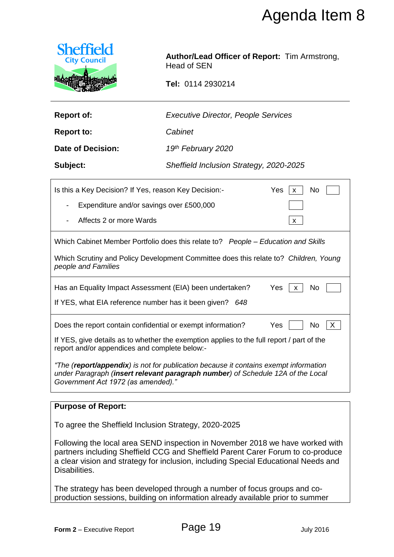

| <b>Executive Director, People Services</b><br><b>Report of:</b> |
|-----------------------------------------------------------------|
|-----------------------------------------------------------------|

|                                                                                                                                                                                                                                                                         |                                                                     | Agenda Item 8    |  |  |
|-------------------------------------------------------------------------------------------------------------------------------------------------------------------------------------------------------------------------------------------------------------------------|---------------------------------------------------------------------|------------------|--|--|
| <b>Sheffield</b><br><b>City Council</b>                                                                                                                                                                                                                                 | Author/Lead Officer of Report: Tim Armstrong,<br><b>Head of SEN</b> |                  |  |  |
|                                                                                                                                                                                                                                                                         | Tel: 0114 2930214                                                   |                  |  |  |
| <b>Report of:</b>                                                                                                                                                                                                                                                       | <b>Executive Director, People Services</b>                          |                  |  |  |
| <b>Report to:</b>                                                                                                                                                                                                                                                       | Cabinet                                                             |                  |  |  |
| <b>Date of Decision:</b>                                                                                                                                                                                                                                                | 19 <sup>th</sup> February 2020                                      |                  |  |  |
| Subject:                                                                                                                                                                                                                                                                | Sheffield Inclusion Strategy, 2020-2025                             |                  |  |  |
| Yes<br>Is this a Key Decision? If Yes, reason Key Decision:-<br>No<br>X                                                                                                                                                                                                 |                                                                     |                  |  |  |
| Expenditure and/or savings over £500,000                                                                                                                                                                                                                                |                                                                     |                  |  |  |
| Affects 2 or more Wards                                                                                                                                                                                                                                                 |                                                                     | X                |  |  |
| Which Cabinet Member Portfolio does this relate to? People – Education and Skills                                                                                                                                                                                       |                                                                     |                  |  |  |
| Which Scrutiny and Policy Development Committee does this relate to? Children, Young<br>people and Families                                                                                                                                                             |                                                                     |                  |  |  |
| Has an Equality Impact Assessment (EIA) been undertaken?<br>Yes<br>No<br>X                                                                                                                                                                                              |                                                                     |                  |  |  |
| If YES, what EIA reference number has it been given?<br>648                                                                                                                                                                                                             |                                                                     |                  |  |  |
| Does the report contain confidential or exempt information?<br>Yes<br>No<br>X.                                                                                                                                                                                          |                                                                     |                  |  |  |
| If YES, give details as to whether the exemption applies to the full report / part of the<br>report and/or appendices and complete below:-                                                                                                                              |                                                                     |                  |  |  |
| "The ( <b>report/appendix</b> ) is not for publication because it contains exempt information<br>under Paragraph (insert relevant paragraph number) of Schedule 12A of the Local<br>Government Act 1972 (as amended)."                                                  |                                                                     |                  |  |  |
| <b>Purpose of Report:</b>                                                                                                                                                                                                                                               |                                                                     |                  |  |  |
| To agree the Sheffield Inclusion Strategy, 2020-2025                                                                                                                                                                                                                    |                                                                     |                  |  |  |
| Following the local area SEND inspection in November 2018 we have worked with<br>partners including Sheffield CCG and Sheffield Parent Carer Forum to co-produce<br>a clear vision and strategy for inclusion, including Special Educational Needs and<br>Disabilities. |                                                                     |                  |  |  |
| The strategy has been developed through a number of focus groups and co-<br>production sessions, building on information already available prior to summer                                                                                                              |                                                                     |                  |  |  |
|                                                                                                                                                                                                                                                                         |                                                                     |                  |  |  |
| Form 2 - Executive Report                                                                                                                                                                                                                                               | Page 19                                                             | <b>July 2016</b> |  |  |

### **Purpose of Report:**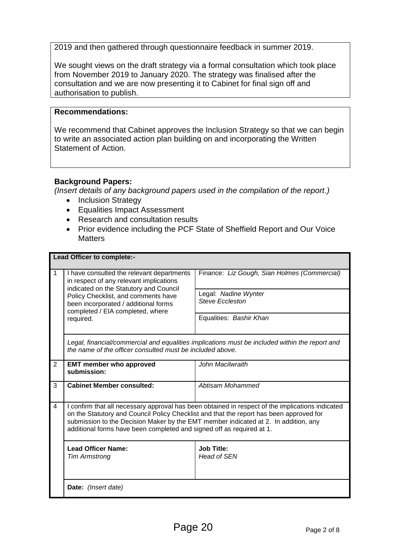2019 and then gathered through questionnaire feedback in summer 2019.

We sought views on the draft strategy via a formal consultation which took place from November 2019 to January 2020. The strategy was finalised after the consultation and we are now presenting it to Cabinet for final sign off and authorisation to publish.

#### **Recommendations:**

We recommend that Cabinet approves the Inclusion Strategy so that we can begin to write an associated action plan building on and incorporating the Written Statement of Action.

#### **Background Papers:**

*(Insert details of any background papers used in the compilation of the report.)*

- Inclusion Strategy
- Equalities Impact Assessment
- Research and consultation results
- Prior evidence including the PCF State of Sheffield Report and Our Voice **Matters**

| Lead Officer to complete:- |                                                                                                                                                                                                                                                                                                                                                             |                                                                                                                                                             |  |  |
|----------------------------|-------------------------------------------------------------------------------------------------------------------------------------------------------------------------------------------------------------------------------------------------------------------------------------------------------------------------------------------------------------|-------------------------------------------------------------------------------------------------------------------------------------------------------------|--|--|
| $\overline{1}$             | I have consulted the relevant departments<br>in respect of any relevant implications<br>indicated on the Statutory and Council<br>Policy Checklist, and comments have<br>been incorporated / additional forms<br>completed / EIA completed, where<br>required.                                                                                              | Finance: Liz Gough, Sian Holmes (Commercial)                                                                                                                |  |  |
|                            |                                                                                                                                                                                                                                                                                                                                                             | Legal: Nadine Wynter<br><b>Steve Eccleston</b>                                                                                                              |  |  |
|                            |                                                                                                                                                                                                                                                                                                                                                             | Equalities: Bashir Khan                                                                                                                                     |  |  |
|                            |                                                                                                                                                                                                                                                                                                                                                             | Legal, financial/commercial and equalities implications must be included within the report and<br>the name of the officer consulted must be included above. |  |  |
| 2                          | <b>EMT member who approved</b><br>submission:                                                                                                                                                                                                                                                                                                               | John Macilwraith                                                                                                                                            |  |  |
| 3                          | <b>Cabinet Member consulted:</b>                                                                                                                                                                                                                                                                                                                            | Abtisam Mohammed                                                                                                                                            |  |  |
| 4                          | I confirm that all necessary approval has been obtained in respect of the implications indicated<br>on the Statutory and Council Policy Checklist and that the report has been approved for<br>submission to the Decision Maker by the EMT member indicated at 2. In addition, any<br>additional forms have been completed and signed off as required at 1. |                                                                                                                                                             |  |  |
|                            | <b>Lead Officer Name:</b><br><b>Tim Armstrong</b>                                                                                                                                                                                                                                                                                                           | <b>Job Title:</b><br>Head of SEN                                                                                                                            |  |  |
|                            | Date: (Insert date)                                                                                                                                                                                                                                                                                                                                         |                                                                                                                                                             |  |  |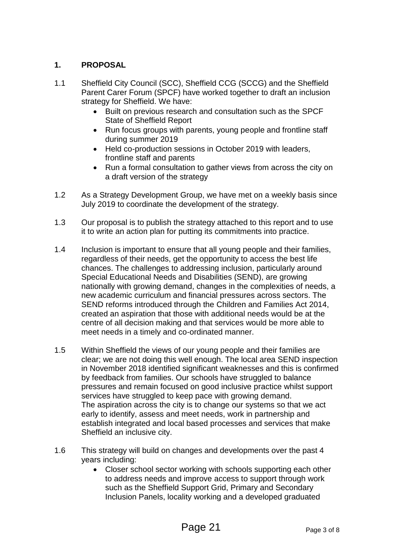# **1. PROPOSAL**

- 1.1 Sheffield City Council (SCC), Sheffield CCG (SCCG) and the Sheffield Parent Carer Forum (SPCF) have worked together to draft an inclusion strategy for Sheffield. We have:
	- Built on previous research and consultation such as the SPCF State of Sheffield Report
	- Run focus groups with parents, young people and frontline staff during summer 2019
	- Held co-production sessions in October 2019 with leaders, frontline staff and parents
	- Run a formal consultation to gather views from across the city on a draft version of the strategy
- 1.2 As a Strategy Development Group, we have met on a weekly basis since July 2019 to coordinate the development of the strategy.
- 1.3 Our proposal is to publish the strategy attached to this report and to use it to write an action plan for putting its commitments into practice.
- 1.4 Inclusion is important to ensure that all young people and their families, regardless of their needs, get the opportunity to access the best life chances. The challenges to addressing inclusion, particularly around Special Educational Needs and Disabilities (SEND), are growing nationally with growing demand, changes in the complexities of needs, a new academic curriculum and financial pressures across sectors. The SEND reforms introduced through the Children and Families Act 2014, created an aspiration that those with additional needs would be at the centre of all decision making and that services would be more able to meet needs in a timely and co-ordinated manner.
- 1.5 Within Sheffield the views of our young people and their families are clear; we are not doing this well enough. The local area SEND inspection in November 2018 identified significant weaknesses and this is confirmed by feedback from families. Our schools have struggled to balance pressures and remain focused on good inclusive practice whilst support services have struggled to keep pace with growing demand. The aspiration across the city is to change our systems so that we act early to identify, assess and meet needs, work in partnership and establish integrated and local based processes and services that make Sheffield an inclusive city.
- 1.6 This strategy will build on changes and developments over the past 4 years including:
	- Closer school sector working with schools supporting each other to address needs and improve access to support through work such as the Sheffield Support Grid, Primary and Secondary Inclusion Panels, locality working and a developed graduated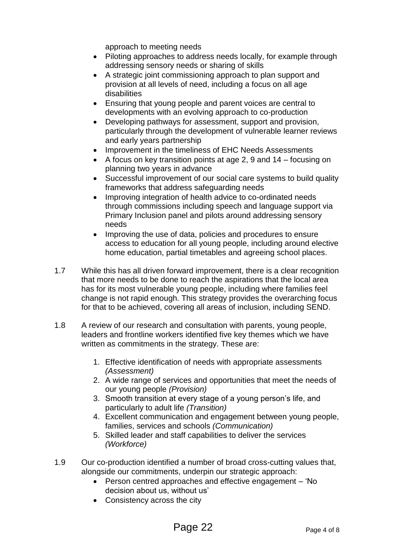approach to meeting needs

- Piloting approaches to address needs locally, for example through addressing sensory needs or sharing of skills
- A strategic joint commissioning approach to plan support and provision at all levels of need, including a focus on all age disabilities
- Ensuring that young people and parent voices are central to developments with an evolving approach to co-production
- Developing pathways for assessment, support and provision, particularly through the development of vulnerable learner reviews and early years partnership
- Improvement in the timeliness of EHC Needs Assessments
- $\bullet$  A focus on key transition points at age 2, 9 and 14 focusing on planning two years in advance
- Successful improvement of our social care systems to build quality frameworks that address safeguarding needs
- Improving integration of health advice to co-ordinated needs through commissions including speech and language support via Primary Inclusion panel and pilots around addressing sensory needs
- Improving the use of data, policies and procedures to ensure access to education for all young people, including around elective home education, partial timetables and agreeing school places.
- 1.7 While this has all driven forward improvement, there is a clear recognition that more needs to be done to reach the aspirations that the local area has for its most vulnerable young people, including where families feel change is not rapid enough. This strategy provides the overarching focus for that to be achieved, covering all areas of inclusion, including SEND.
- 1.8 A review of our research and consultation with parents, young people, leaders and frontline workers identified five key themes which we have written as commitments in the strategy. These are:
	- 1. Effective identification of needs with appropriate assessments *(Assessment)*
	- 2. A wide range of services and opportunities that meet the needs of our young people *(Provision)*
	- 3. Smooth transition at every stage of a young person's life, and particularly to adult life *(Transition)*
	- 4. Excellent communication and engagement between young people, families, services and schools *(Communication)*
	- 5. Skilled leader and staff capabilities to deliver the services *(Workforce)*
- 1.9 Our co-production identified a number of broad cross-cutting values that, alongside our commitments, underpin our strategic approach:
	- Person centred approaches and effective engagement 'No decision about us, without us'
	- Consistency across the city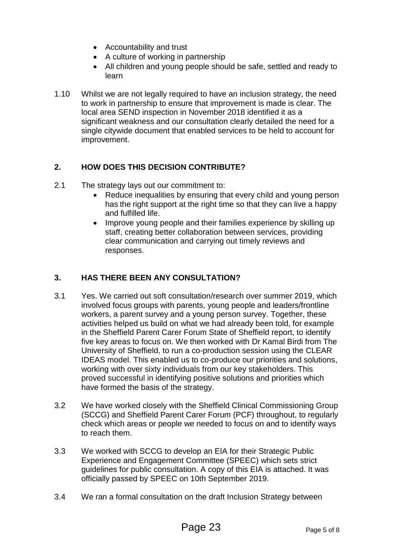- Accountability and trust
- A culture of working in partnership
- All children and young people should be safe, settled and ready to learn
- 1.10 Whilst we are not legally required to have an inclusion strategy, the need to work in partnership to ensure that improvement is made is clear. The local area SEND inspection in November 2018 identified it as a significant weakness and our consultation clearly detailed the need for a single citywide document that enabled services to be held to account for improvement.

# **2. HOW DOES THIS DECISION CONTRIBUTE?**

- 2.1 The strategy lays out our commitment to:
	- Reduce inequalities by ensuring that every child and young person has the right support at the right time so that they can live a happy and fulfilled life.
	- Improve young people and their families experience by skilling up staff, creating better collaboration between services, providing clear communication and carrying out timely reviews and responses.

# **3. HAS THERE BEEN ANY CONSULTATION?**

- 3.1 Yes. We carried out soft consultation/research over summer 2019, which involved focus groups with parents, young people and leaders/frontline workers, a parent survey and a young person survey. Together, these activities helped us build on what we had already been told, for example in the Sheffield Parent Carer Forum State of Sheffield report, to identify five key areas to focus on. We then worked with Dr Kamal Birdi from The University of Sheffield, to run a co-production session using the CLEAR IDEAS model. This enabled us to co-produce our priorities and solutions, working with over sixty individuals from our key stakeholders. This proved successful in identifying positive solutions and priorities which have formed the basis of the strategy.
- 3.2 We have worked closely with the Sheffield Clinical Commissioning Group (SCCG) and Sheffield Parent Carer Forum (PCF) throughout, to regularly check which areas or people we needed to focus on and to identify ways to reach them.
- 3.3 We worked with SCCG to develop an EIA for their Strategic Public Experience and Engagement Committee (SPEEC) which sets strict guidelines for public consultation. A copy of this EIA is attached. It was officially passed by SPEEC on 10th September 2019.
- 3.4 We ran a formal consultation on the draft Inclusion Strategy between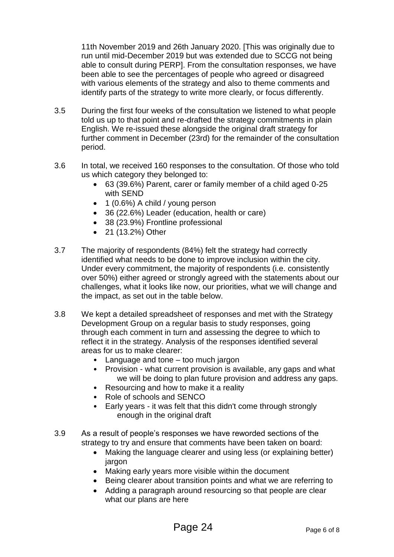11th November 2019 and 26th January 2020. [This was originally due to run until mid-December 2019 but was extended due to SCCG not being able to consult during PERP]. From the consultation responses, we have been able to see the percentages of people who agreed or disagreed with various elements of the strategy and also to theme comments and identify parts of the strategy to write more clearly, or focus differently.

- 3.5 During the first four weeks of the consultation we listened to what people told us up to that point and re-drafted the strategy commitments in plain English. We re-issued these alongside the original draft strategy for further comment in December (23rd) for the remainder of the consultation period.
- 3.6 In total, we received 160 responses to the consultation. Of those who told us which category they belonged to:
	- 63 (39.6%) Parent, carer or family member of a child aged 0-25 with SEND
	- $\bullet$  1 (0.6%) A child / young person
	- 36 (22.6%) Leader (education, health or care)
	- 38 (23.9%) Frontline professional
	- 21 (13.2%) Other
- 3.7 The majority of respondents (84%) felt the strategy had correctly identified what needs to be done to improve inclusion within the city. Under every commitment, the majority of respondents (i.e. consistently over 50%) either agreed or strongly agreed with the statements about our challenges, what it looks like now, our priorities, what we will change and the impact, as set out in the table below.
- 3.8 We kept a detailed spreadsheet of responses and met with the Strategy Development Group on a regular basis to study responses, going through each comment in turn and assessing the degree to which to reflect it in the strategy. Analysis of the responses identified several areas for us to make clearer:
	- Language and tone too much jargon
	- Provision what current provision is available, any gaps and what we will be doing to plan future provision and address any gaps.
	- Resourcing and how to make it a reality
	- Role of schools and SENCO
	- Early years it was felt that this didn't come through strongly enough in the original draft
- 3.9 As a result of people's responses we have reworded sections of the strategy to try and ensure that comments have been taken on board:
	- Making the language clearer and using less (or explaining better) jargon
	- Making early years more visible within the document
	- Being clearer about transition points and what we are referring to
	- Adding a paragraph around resourcing so that people are clear what our plans are here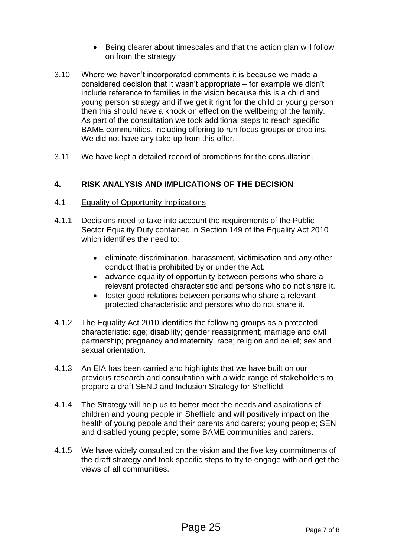- Being clearer about timescales and that the action plan will follow on from the strategy
- 3.10 Where we haven't incorporated comments it is because we made a considered decision that it wasn't appropriate – for example we didn't include reference to families in the vision because this is a child and young person strategy and if we get it right for the child or young person then this should have a knock on effect on the wellbeing of the family. As part of the consultation we took additional steps to reach specific BAME communities, including offering to run focus groups or drop ins. We did not have any take up from this offer.
- 3.11 We have kept a detailed record of promotions for the consultation.

#### **4. RISK ANALYSIS AND IMPLICATIONS OF THE DECISION**

- 4.1 Equality of Opportunity Implications
- 4.1.1 Decisions need to take into account the requirements of the Public Sector Equality Duty contained in Section 149 of the Equality Act 2010 which identifies the need to:
	- **e** eliminate discrimination, harassment, victimisation and any other conduct that is prohibited by or under the Act.
	- advance equality of opportunity between persons who share a relevant protected characteristic and persons who do not share it.
	- foster good relations between persons who share a relevant protected characteristic and persons who do not share it.
- 4.1.2 The Equality Act 2010 identifies the following groups as a protected characteristic: age; disability; gender reassignment; marriage and civil partnership; pregnancy and maternity; race; religion and belief; sex and sexual orientation.
- 4.1.3 An EIA has been carried and highlights that we have built on our previous research and consultation with a wide range of stakeholders to prepare a draft SEND and Inclusion Strategy for Sheffield.
- 4.1.4 The Strategy will help us to better meet the needs and aspirations of children and young people in Sheffield and will positively impact on the health of young people and their parents and carers; young people; SEN and disabled young people; some BAME communities and carers.
- 4.1.5 We have widely consulted on the vision and the five key commitments of the draft strategy and took specific steps to try to engage with and get the views of all communities.